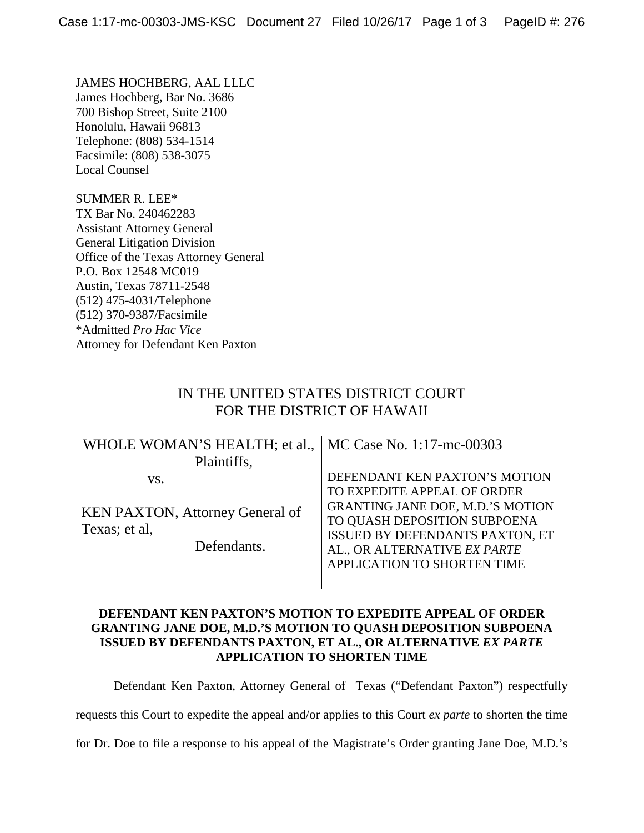JAMES HOCHBERG, AAL LLLC James Hochberg, Bar No. 3686 700 Bishop Street, Suite 2100 Honolulu, Hawaii 96813 Telephone: (808) 534-1514 Facsimile: (808) 538-3075 Local Counsel

SUMMER R. LEE\* TX Bar No. 240462283 Assistant Attorney General General Litigation Division Office of the Texas Attorney General P.O. Box 12548 MC019 Austin, Texas 78711-2548 (512) 475-4031/Telephone (512) 370-9387/Facsimile \*Admitted *Pro Hac Vice* Attorney for Defendant Ken Paxton

## IN THE UNITED STATES DISTRICT COURT FOR THE DISTRICT OF HAWAII

| WHOLE WOMAN'S HEALTH; et al.,   MC Case No. 1:17-mc-00303              |                                         |                               |
|------------------------------------------------------------------------|-----------------------------------------|-------------------------------|
| Plaintiffs,                                                            |                                         |                               |
| VS.                                                                    |                                         | DEFENDANT KEN PAXTON'S MOTION |
| <b>KEN PAXTON, Attorney General of</b><br>Texas; et al.<br>Defendants. | TO EXPEDITE APPEAL OF ORDER             |                               |
|                                                                        | <b>GRANTING JANE DOE, M.D.'S MOTION</b> |                               |
|                                                                        | TO QUASH DEPOSITION SUBPOENA            |                               |
|                                                                        | ISSUED BY DEFENDANTS PAXTON, ET         |                               |
|                                                                        | AL., OR ALTERNATIVE EX PARTE            |                               |
|                                                                        |                                         | APPLICATION TO SHORTEN TIME   |
|                                                                        |                                         |                               |

## **DEFENDANT KEN PAXTON'S MOTION TO EXPEDITE APPEAL OF ORDER GRANTING JANE DOE, M.D.'S MOTION TO QUASH DEPOSITION SUBPOENA ISSUED BY DEFENDANTS PAXTON, ET AL., OR ALTERNATIVE** *EX PARTE* **APPLICATION TO SHORTEN TIME**

Defendant Ken Paxton, Attorney General of Texas ("Defendant Paxton") respectfully

requests this Court to expedite the appeal and/or applies to this Court *ex parte* to shorten the time

for Dr. Doe to file a response to his appeal of the Magistrate's Order granting Jane Doe, M.D.'s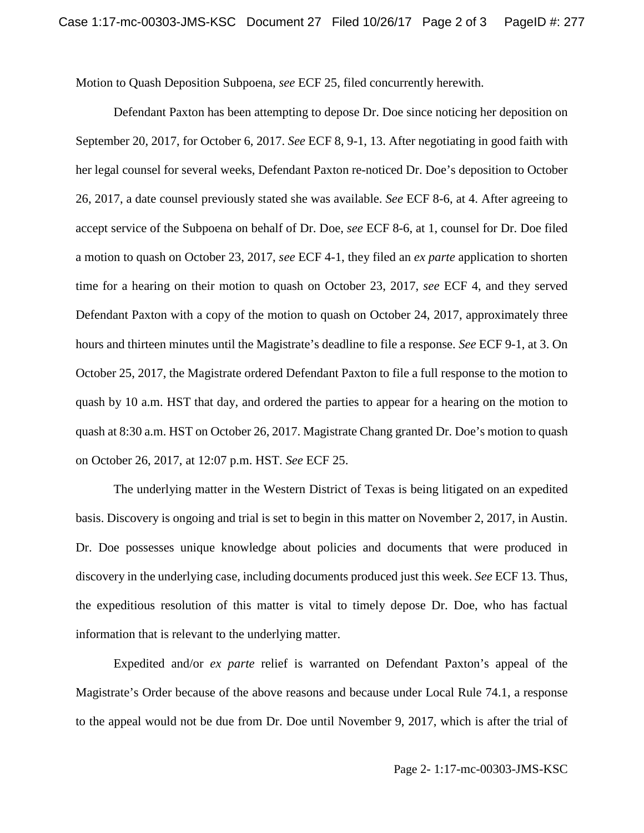Motion to Quash Deposition Subpoena, *see* ECF 25, filed concurrently herewith.

Defendant Paxton has been attempting to depose Dr. Doe since noticing her deposition on September 20, 2017, for October 6, 2017. *See* ECF 8, 9-1, 13. After negotiating in good faith with her legal counsel for several weeks, Defendant Paxton re-noticed Dr. Doe's deposition to October 26, 2017, a date counsel previously stated she was available. *See* ECF 8-6, at 4. After agreeing to accept service of the Subpoena on behalf of Dr. Doe, *see* ECF 8-6, at 1, counsel for Dr. Doe filed a motion to quash on October 23, 2017, *see* ECF 4-1, they filed an *ex parte* application to shorten time for a hearing on their motion to quash on October 23, 2017, *see* ECF 4, and they served Defendant Paxton with a copy of the motion to quash on October 24, 2017, approximately three hours and thirteen minutes until the Magistrate's deadline to file a response. *See* ECF 9-1, at 3. On October 25, 2017, the Magistrate ordered Defendant Paxton to file a full response to the motion to quash by 10 a.m. HST that day, and ordered the parties to appear for a hearing on the motion to quash at 8:30 a.m. HST on October 26, 2017. Magistrate Chang granted Dr. Doe's motion to quash on October 26, 2017, at 12:07 p.m. HST. *See* ECF 25.

The underlying matter in the Western District of Texas is being litigated on an expedited basis. Discovery is ongoing and trial is set to begin in this matter on November 2, 2017, in Austin. Dr. Doe possesses unique knowledge about policies and documents that were produced in discovery in the underlying case, including documents produced just this week. *See* ECF 13. Thus, the expeditious resolution of this matter is vital to timely depose Dr. Doe, who has factual information that is relevant to the underlying matter.

Expedited and/or *ex parte* relief is warranted on Defendant Paxton's appeal of the Magistrate's Order because of the above reasons and because under Local Rule 74.1, a response to the appeal would not be due from Dr. Doe until November 9, 2017, which is after the trial of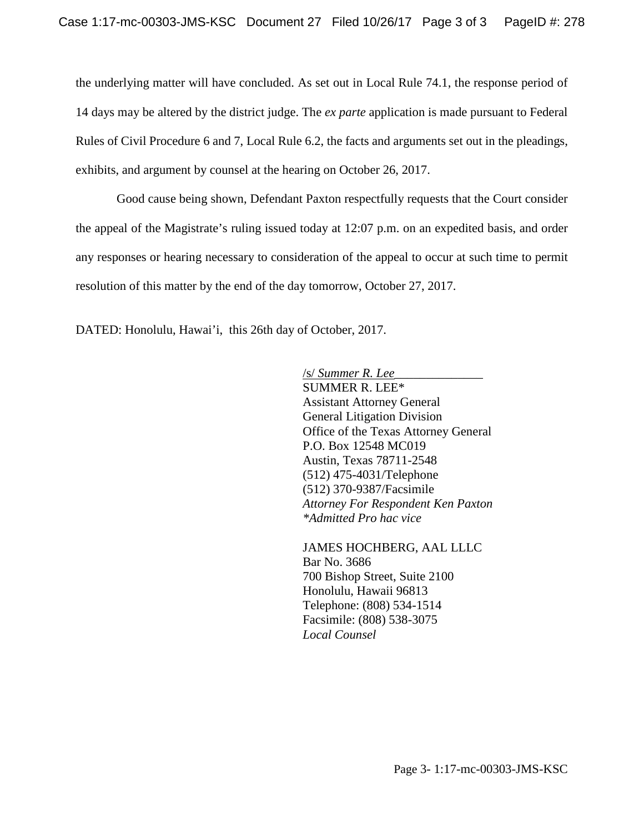the underlying matter will have concluded. As set out in Local Rule 74.1, the response period of 14 days may be altered by the district judge. The *ex parte* application is made pursuant to Federal Rules of Civil Procedure 6 and 7, Local Rule 6.2, the facts and arguments set out in the pleadings, exhibits, and argument by counsel at the hearing on October 26, 2017.

Good cause being shown, Defendant Paxton respectfully requests that the Court consider the appeal of the Magistrate's ruling issued today at 12:07 p.m. on an expedited basis, and order any responses or hearing necessary to consideration of the appeal to occur at such time to permit resolution of this matter by the end of the day tomorrow, October 27, 2017.

DATED: Honolulu, Hawai'i, this 26th day of October, 2017.

/s/ *Summer R. Lee*\_\_\_\_\_\_\_\_\_\_\_\_\_\_ SUMMER R. LEE\* Assistant Attorney General General Litigation Division Office of the Texas Attorney General P.O. Box 12548 MC019 Austin, Texas 78711-2548 (512) 475-4031/Telephone (512) 370-9387/Facsimile *Attorney For Respondent Ken Paxton \*Admitted Pro hac vice*

JAMES HOCHBERG, AAL LLLC Bar No. 3686 700 Bishop Street, Suite 2100 Honolulu, Hawaii 96813 Telephone: (808) 534-1514 Facsimile: (808) 538-3075 *Local Counsel*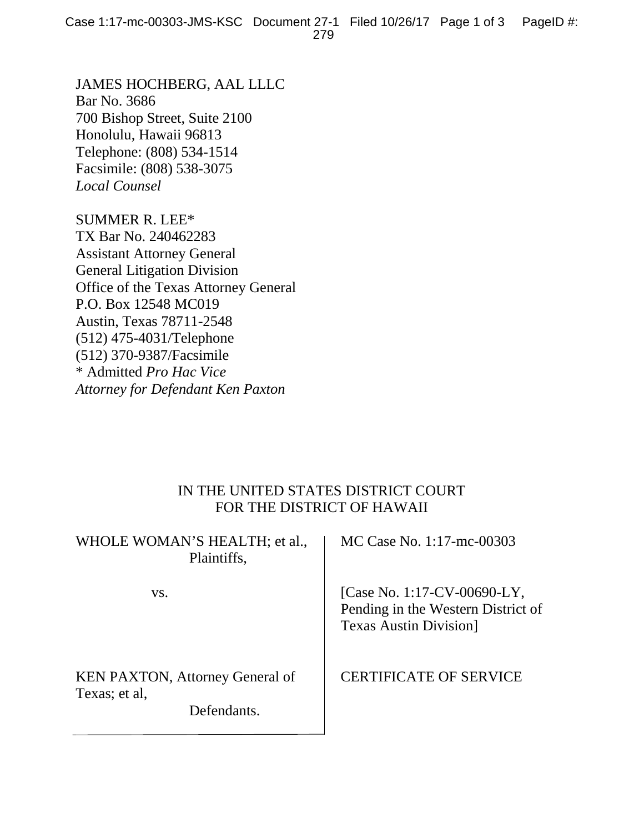JAMES HOCHBERG, AAL LLLC Bar No. 3686 700 Bishop Street, Suite 2100 Honolulu, Hawaii 96813 Telephone: (808) 534-1514 Facsimile: (808) 538-3075 *Local Counsel*

SUMMER R. LEE\* TX Bar No. 240462283 Assistant Attorney General General Litigation Division Office of the Texas Attorney General P.O. Box 12548 MC019 Austin, Texas 78711-2548 (512) 475-4031/Telephone (512) 370-9387/Facsimile \* Admitted *Pro Hac Vice Attorney for Defendant Ken Paxton*

## IN THE UNITED STATES DISTRICT COURT FOR THE DISTRICT OF HAWAII

|               | WHOLE WOMAN'S HEALTH; et al.,<br>Plaintiffs,          | MC Case No. 1:17-mc-00303                                                                         |
|---------------|-------------------------------------------------------|---------------------------------------------------------------------------------------------------|
| VS.           |                                                       | [Case No. 1:17-CV-00690-LY,<br>Pending in the Western District of<br><b>Texas Austin Division</b> |
| Texas; et al, | <b>KEN PAXTON, Attorney General of</b><br>Defendants. | <b>CERTIFICATE OF SERVICE</b>                                                                     |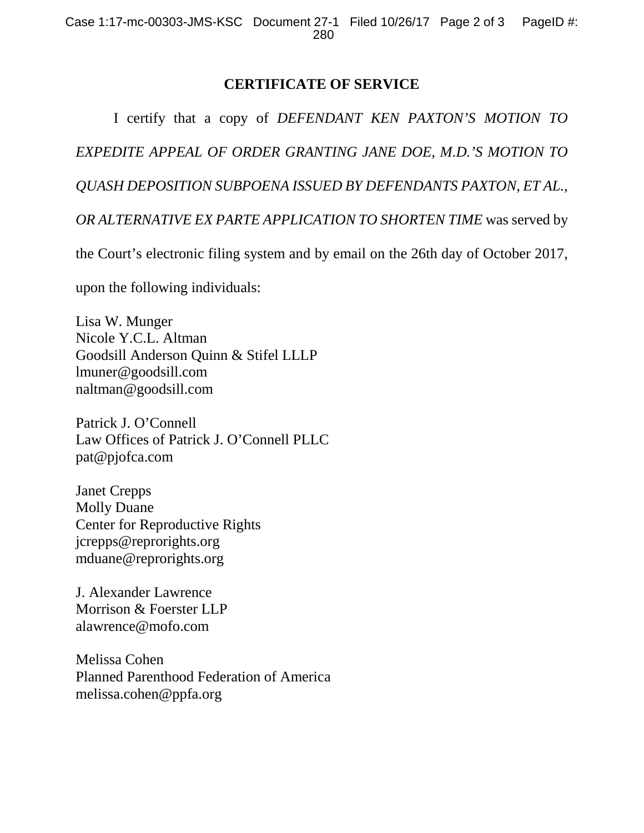## **CERTIFICATE OF SERVICE**

I certify that a copy of *DEFENDANT KEN PAXTON'S MOTION TO EXPEDITE APPEAL OF ORDER GRANTING JANE DOE, M.D.'S MOTION TO QUASH DEPOSITION SUBPOENA ISSUED BY DEFENDANTS PAXTON, ET AL., OR ALTERNATIVE EX PARTE APPLICATION TO SHORTEN TIME* was served by

the Court's electronic filing system and by email on the 26th day of October 2017,

upon the following individuals:

Lisa W. Munger Nicole Y.C.L. Altman Goodsill Anderson Quinn & Stifel LLLP lmuner@goodsill.com naltman@goodsill.com

Patrick J. O'Connell Law Offices of Patrick J. O'Connell PLLC pat@pjofca.com

Janet Crepps Molly Duane Center for Reproductive Rights jcrepps@reprorights.org mduane@reprorights.org

J. Alexander Lawrence Morrison & Foerster LLP alawrence@mofo.com

Melissa Cohen Planned Parenthood Federation of America melissa.cohen@ppfa.org